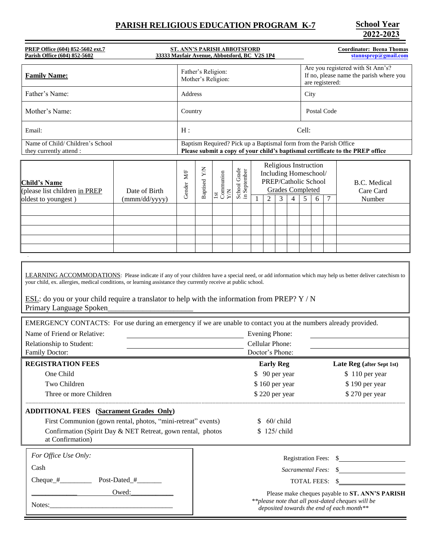# **PARISH RELIGIOUS EDUCATION PROGRAM K-7**

**2022-2023**

| PREP Office (604) 852-5602 ext.7<br>ST. ANN'S PARISH ABBOTSFORD<br>Parish Office (604) 852-5602<br>33333 Mayfair Avenue, Abbotsford, BC V2S 1P4                                                                                                                                                                                                                                                                                                                                                                                                                                                                                  |            |                                                                                                                                                    |                         |                              |   |                                                                                                       |   |                                           | <b>Coordinator: Beena Thomas</b><br>stannsprep@gmail.com |                                                                                                 |        |                                                                                                                                                                                               |  |
|----------------------------------------------------------------------------------------------------------------------------------------------------------------------------------------------------------------------------------------------------------------------------------------------------------------------------------------------------------------------------------------------------------------------------------------------------------------------------------------------------------------------------------------------------------------------------------------------------------------------------------|------------|----------------------------------------------------------------------------------------------------------------------------------------------------|-------------------------|------------------------------|---|-------------------------------------------------------------------------------------------------------|---|-------------------------------------------|----------------------------------------------------------|-------------------------------------------------------------------------------------------------|--------|-----------------------------------------------------------------------------------------------------------------------------------------------------------------------------------------------|--|
| <b>Family Name:</b>                                                                                                                                                                                                                                                                                                                                                                                                                                                                                                                                                                                                              |            | Father's Religion:<br>Mother's Religion:                                                                                                           |                         |                              |   |                                                                                                       |   |                                           |                                                          | Are you registered with St Ann's?<br>If no, please name the parish where you<br>are registered: |        |                                                                                                                                                                                               |  |
| Father's Name:                                                                                                                                                                                                                                                                                                                                                                                                                                                                                                                                                                                                                   |            | Address                                                                                                                                            |                         |                              |   |                                                                                                       |   |                                           |                                                          | City                                                                                            |        |                                                                                                                                                                                               |  |
| Mother's Name:                                                                                                                                                                                                                                                                                                                                                                                                                                                                                                                                                                                                                   |            | Country                                                                                                                                            |                         |                              |   |                                                                                                       |   |                                           |                                                          | Postal Code                                                                                     |        |                                                                                                                                                                                               |  |
| Email:                                                                                                                                                                                                                                                                                                                                                                                                                                                                                                                                                                                                                           |            | H:                                                                                                                                                 |                         |                              |   |                                                                                                       |   |                                           |                                                          | Cell:                                                                                           |        |                                                                                                                                                                                               |  |
| Name of Child/ Children's School<br>they currently attend :                                                                                                                                                                                                                                                                                                                                                                                                                                                                                                                                                                      |            | Baptism Required? Pick up a Baptismal form from the Parish Office<br>Please submit a copy of your child's baptismal certificate to the PREP office |                         |                              |   |                                                                                                       |   |                                           |                                                          |                                                                                                 |        |                                                                                                                                                                                               |  |
| <b>Child's Name</b><br>(please list children in PREP<br>Date of Birth<br>oldest to youngest)<br>(mmm/dd/yyyy)                                                                                                                                                                                                                                                                                                                                                                                                                                                                                                                    | Gender M/F | Baptised Y/N                                                                                                                                       | 1st<br>Communion<br>Y/N | School Grade<br>in September | 1 | Religious Instruction<br>Including Homeschool/<br>PREP/Catholic School<br>$\overline{2}$              | 3 | <b>Grades Completed</b><br>$\overline{4}$ | 5                                                        | 6                                                                                               | $\tau$ | <b>B.C.</b> Medical<br>Care Card<br>Number                                                                                                                                                    |  |
| LEARNING ACCOMMODATIONS: Please indicate if any of your children have a special need, or add information which may help us better deliver catechism to<br>your child, ex. allergies, medical conditions, or learning assistance they currently receive at public school.<br>ESL: do you or your child require a translator to help with the information from PREP? $Y / N$<br>Primary Language Spoken<br>EMERGENCY CONTACTS: For use during an emergency if we are unable to contact you at the numbers already provided.<br>Name of Friend or Relative:<br>Evening Phone:<br><b>Cellular Phone:</b><br>Relationship to Student: |            |                                                                                                                                                    |                         |                              |   |                                                                                                       |   |                                           |                                                          |                                                                                                 |        |                                                                                                                                                                                               |  |
| Family Doctor:<br>Doctor's Phone:                                                                                                                                                                                                                                                                                                                                                                                                                                                                                                                                                                                                |            |                                                                                                                                                    |                         |                              |   |                                                                                                       |   |                                           |                                                          |                                                                                                 |        |                                                                                                                                                                                               |  |
| <b>REGISTRATION FEES</b><br>One Child<br>Two Children<br>Three or more Children<br><b>ADDITIONAL FEES</b> (Sacrament Grades Only)<br>First Communion (gown rental, photos, "mini-retreat" events)<br>Confirmation (Spirit Day & NET Retreat, gown rental, photos<br>at Confirmation)                                                                                                                                                                                                                                                                                                                                             |            |                                                                                                                                                    |                         |                              |   | <b>Early Reg</b><br>\$ 90 per year<br>\$160 per year<br>\$220 per year<br>\$60/child<br>\$ 125/ child |   |                                           |                                                          |                                                                                                 |        | Late Reg (after Sept 1st)<br>\$110 per year<br>\$190 per year<br>\$270 per year                                                                                                               |  |
| For Office Use Only:<br>Cash<br>Post-Dated_#_______<br>Owed:<br><u> 1989 - Johann John Barn, mars ar breist ar breist ar breist ar breist ar breist ar breist ar breist ar breis</u>                                                                                                                                                                                                                                                                                                                                                                                                                                             |            |                                                                                                                                                    |                         |                              |   |                                                                                                       |   |                                           |                                                          |                                                                                                 |        | Registration Fees: \$<br>TOTAL FEES: \$<br>Please make cheques payable to ST. ANN'S PARISH<br>** please note that all post-dated cheques will be<br>deposited towards the end of each month** |  |